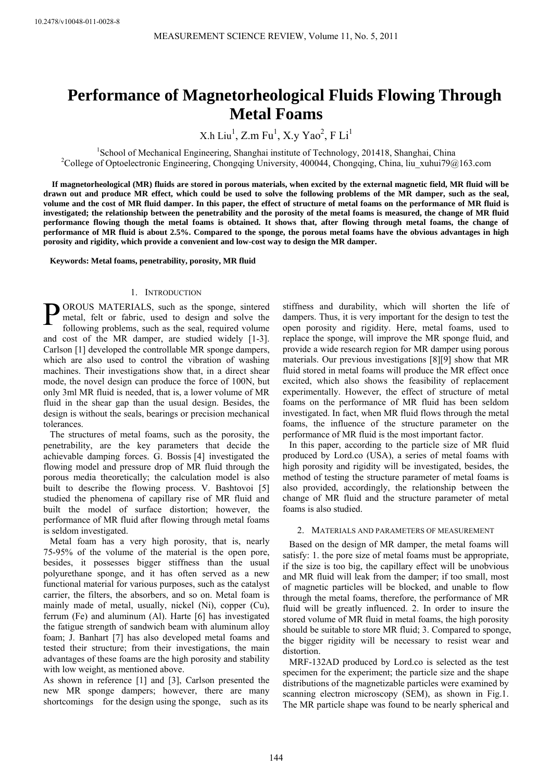# **Performance of Magnetorheological Fluids Flowing Through Metal Foams**

 $X.h$  Liu<sup>1</sup>,  $Z.m$  Fu<sup>1</sup>,  $X.y$  Yao<sup>2</sup>, F Li<sup>1</sup>

<sup>1</sup>School of Mechanical Engineering, Shanghai institute of Technology, 201418, Shanghai, China<br><sup>2</sup>Cellege of Optoelectronic Engineering, Changaing University, 400044, Changaing, China lin, whyi70@ <sup>2</sup>College of Optoelectronic Engineering, Chongqing University, 400044, Chongqing, China, liu\_xuhui79@163.com

**If magnetorheological (MR) fluids are stored in porous materials, when excited by the external magnetic field, MR fluid will be drawn out and produce MR effect, which could be used to solve the following problems of the MR damper, such as the seal, volume and the cost of MR fluid damper. In this paper, the effect of structure of metal foams on the performance of MR fluid is investigated; the relationship between the penetrability and the porosity of the metal foams is measured, the change of MR fluid performance flowing though the metal foams is obtained. It shows that, after flowing through metal foams, the change of performance of MR fluid is about 2.5%. Compared to the sponge, the porous metal foams have the obvious advantages in high porosity and rigidity, which provide a convenient and low-cost way to design the MR damper.** 

**Keywords: Metal foams, penetrability, porosity, MR fluid** 

# 1. INTRODUCTION

**P**OROUS MATERIALS, such as the sponge, sintered metal, felt or fabric, used to design and solve the following problems, such as the seal, required volume metal, felt or fabric, used to design and solve the following problems, such as the seal, required volume and cost of the MR damper, are studied widely [1-3]. Carlson [1] developed the controllable MR sponge dampers, which are also used to control the vibration of washing machines. Their investigations show that, in a direct shear mode, the novel design can produce the force of 100N, but only 3ml MR fluid is needed, that is, a lower volume of MR fluid in the shear gap than the usual design. Besides, the design is without the seals, bearings or precision mechanical tolerances.

The structures of metal foams, such as the porosity, the penetrability, are the key parameters that decide the achievable damping forces. G. Bossis [4] investigated the flowing model and pressure drop of MR fluid through the porous media theoretically; the calculation model is also built to describe the flowing process. V. Bashtovoi [5] studied the phenomena of capillary rise of MR fluid and built the model of surface distortion; however, the performance of MR fluid after flowing through metal foams is seldom investigated.

Metal foam has a very high porosity, that is, nearly 75-95% of the volume of the material is the open pore, besides, it possesses bigger stiffness than the usual polyurethane sponge, and it has often served as a new functional material for various purposes, such as the catalyst carrier, the filters, the absorbers, and so on. Metal foam is mainly made of metal, usually, nickel (Ni), copper (Cu), ferrum (Fe) and aluminum (Al). Harte [6] has investigated the fatigue strength of sandwich beam with aluminum alloy foam; J. Banhart [7] has also developed metal foams and tested their structure; from their investigations, the main advantages of these foams are the high porosity and stability with low weight, as mentioned above.

As shown in reference [1] and [3], Carlson presented the new MR sponge dampers; however, there are many shortcomings for the design using the sponge, such as its

stiffness and durability, which will shorten the life of dampers. Thus, it is very important for the design to test the open porosity and rigidity. Here, metal foams, used to replace the sponge, will improve the MR sponge fluid, and provide a wide research region for MR damper using porous materials. Our previous investigations [8][9] show that MR fluid stored in metal foams will produce the MR effect once excited, which also shows the feasibility of replacement experimentally. However, the effect of structure of metal foams on the performance of MR fluid has been seldom investigated. In fact, when MR fluid flows through the metal foams, the influence of the structure parameter on the performance of MR fluid is the most important factor.

In this paper, according to the particle size of MR fluid produced by Lord.co (USA), a series of metal foams with high porosity and rigidity will be investigated, besides, the method of testing the structure parameter of metal foams is also provided, accordingly, the relationship between the change of MR fluid and the structure parameter of metal foams is also studied.

## 2. MATERIALS AND PARAMETERS OF MEASUREMENT

Based on the design of MR damper, the metal foams will satisfy: 1. the pore size of metal foams must be appropriate, if the size is too big, the capillary effect will be unobvious and MR fluid will leak from the damper; if too small, most of magnetic particles will be blocked, and unable to flow through the metal foams, therefore, the performance of MR fluid will be greatly influenced. 2. In order to insure the stored volume of MR fluid in metal foams, the high porosity should be suitable to store MR fluid; 3. Compared to sponge, the bigger rigidity will be necessary to resist wear and distortion.

MRF-132AD produced by Lord.co is selected as the test specimen for the experiment; the particle size and the shape distributions of the magnetizable particles were examined by scanning electron microscopy (SEM), as shown in Fig.1. The MR particle shape was found to be nearly spherical and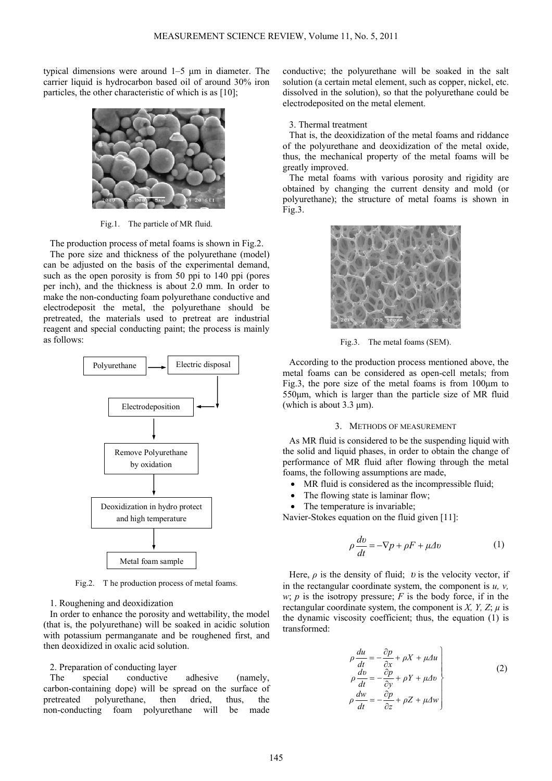typical dimensions were around 1–5 μm in diameter. The carrier liquid is hydrocarbon based oil of around 30% iron particles, the other characteristic of which is as [10];



Fig.1. The particle of MR fluid.

The production process of metal foams is shown in Fig.2. The pore size and thickness of the polyurethane (model) can be adjusted on the basis of the experimental demand, such as the open porosity is from 50 ppi to 140 ppi (pores per inch), and the thickness is about 2.0 mm. In order to make the non-conducting foam polyurethane conductive and electrodeposit the metal, the polyurethane should be pretreated, the materials used to pretreat are industrial reagent and special conducting paint; the process is mainly as follows:



Fig.2. T he production process of metal foams.

## 1. Roughening and deoxidization

In order to enhance the porosity and wettability, the model (that is, the polyurethane) will be soaked in acidic solution with potassium permanganate and be roughened first, and then deoxidized in oxalic acid solution.

## 2. Preparation of conducting layer

The special conductive adhesive (namely, carbon-containing dope) will be spread on the surface of pretreated polyurethane, then dried, thus, the non-conducting foam polyurethane will be made

conductive; the polyurethane will be soaked in the salt solution (a certain metal element, such as copper, nickel, etc. dissolved in the solution), so that the polyurethane could be electrodeposited on the metal element.

#### 3. Thermal treatment

That is, the deoxidization of the metal foams and riddance of the polyurethane and deoxidization of the metal oxide, thus, the mechanical property of the metal foams will be greatly improved.

The metal foams with various porosity and rigidity are obtained by changing the current density and mold (or polyurethane); the structure of metal foams is shown in Fig.3.



Fig.3. The metal foams (SEM).

According to the production process mentioned above, the metal foams can be considered as open-cell metals; from Fig.3, the pore size of the metal foams is from 100μm to 550μm, which is larger than the particle size of MR fluid (which is about  $3.3 \mu m$ ).

## 3. METHODS OF MEASUREMENT

As MR fluid is considered to be the suspending liquid with the solid and liquid phases, in order to obtain the change of performance of MR fluid after flowing through the metal foams, the following assumptions are made,

- MR fluid is considered as the incompressible fluid;
- The flowing state is laminar flow;
- The temperature is invariable;

Navier-Stokes equation on the fluid given [11]:

$$
\rho \frac{dv}{dt} = -\nabla p + \rho F + \mu \Delta v \tag{1}
$$

Here,  $\rho$  is the density of fluid; *v* is the velocity vector, if in the rectangular coordinate system, the component is  $u$ ,  $v$ , *w*; *p* is the isotropy pressure;  $F$  is the body force, if in the rectangular coordinate system, the component is *X*, *Y*, *Z*;  $\mu$  is the dynamic viscosity coefficient; thus, the equation (1) is transformed:

$$
\rho \frac{du}{dt} = -\frac{\partial p}{\partial x} + \rho X + \mu \Delta u
$$
\n
$$
\rho \frac{dv}{dt} = -\frac{\partial p}{\partial y} + \rho Y + \mu \Delta v
$$
\n
$$
\rho \frac{dw}{dt} = -\frac{\partial p}{\partial z} + \rho Z + \mu \Delta w
$$
\n(2)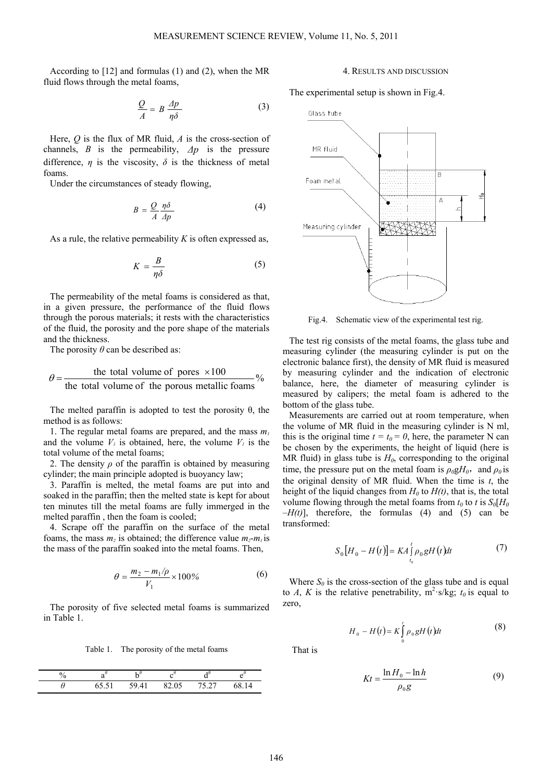According to [12] and formulas (1) and (2), when the MR fluid flows through the metal foams,

$$
\frac{Q}{A} = B \frac{\Delta p}{\eta \delta} \tag{3}
$$

Here, *Q* is the flux of MR fluid, *A* is the cross-section of channels, *B* is the permeability,  $\Delta p$  is the pressure difference,  $\eta$  is the viscosity,  $\delta$  is the thickness of metal foams.

Under the circumstances of steady flowing,

$$
B = \frac{Q}{A} \frac{\eta \delta}{\Delta p} \tag{4}
$$

As a rule, the relative permeability *K* is often expressed as,

$$
K = \frac{B}{\eta \delta} \tag{5}
$$

The permeability of the metal foams is considered as that, in a given pressure, the performance of the fluid flows through the porous materials; it rests with the characteristics of the fluid, the porosity and the pore shape of the materials and the thickness.

The porosity  $\theta$  can be described as:

$$
\theta = \frac{\text{the total volume of pores } \times 100}{\text{the total volume of the porous metallic foams}}
$$

The melted paraffin is adopted to test the porosity  $\theta$ , the method is as follows:

1. The regular metal foams are prepared, and the mass *m1*  and the volume  $V_i$  is obtained, here, the volume  $V_i$  is the total volume of the metal foams;

2. The density  $\rho$  of the paraffin is obtained by measuring cylinder; the main principle adopted is buoyancy law;

3. Paraffin is melted, the metal foams are put into and soaked in the paraffin; then the melted state is kept for about ten minutes till the metal foams are fully immerged in the melted paraffin , then the foam is cooled;

4. Scrape off the paraffin on the surface of the metal foams, the mass  $m_2$  is obtained; the difference value  $m_2$ - $m_1$  is the mass of the paraffin soaked into the metal foams. Then,

$$
\theta = \frac{m_2 - m_1/\rho}{V_1} \times 100\% \tag{6}
$$

The porosity of five selected metal foams is summarized in Table 1.

Table 1. The porosity of the metal foams

| $\frac{0}{0}$ |           |                                              |       |                   |       | I۲<br>-<br>$\omega$<br>шл<br>,,,,,<br>$\sim$ $\sim$ |
|---------------|-----------|----------------------------------------------|-------|-------------------|-------|-----------------------------------------------------|
|               | .<br>0.51 | $\sim$<br>59 $\Lambda$ <sup>*</sup><br>77.71 | 82.05 | 75.27<br>$\cup$ . | 68.14 | 111<br>$\mu_{0,0}$                                  |

#### 4. RESULTS AND DISCUSSION

The experimental setup is shown in Fig.4.



Fig.4. Schematic view of the experimental test rig.

The test rig consists of the metal foams, the glass tube and measuring cylinder (the measuring cylinder is put on the electronic balance first), the density of MR fluid is measured by measuring cylinder and the indication of electronic balance, here, the diameter of measuring cylinder is measured by calipers; the metal foam is adhered to the bottom of the glass tube.

Measurements are carried out at room temperature, when the volume of MR fluid in the measuring cylinder is N ml, this is the original time  $t = t_0 = 0$ , here, the parameter N can be chosen by the experiments, the height of liquid (here is MR fluid) in glass tube is  $H_0$ , corresponding to the original time, the pressure put on the metal foam is  $\rho_0 g H_0$ , and  $\rho_0$  is the original density of MR fluid. When the time is *t*, the height of the liquid changes from  $H_0$  to  $H(t)$ , that is, the total volume flowing through the metal foams from  $t_0$  to *t* is  $S_0[H_0]$  $-H(t)$ ], therefore, the formulas (4) and (5) can be transformed:

$$
S_0[H_0 - H(t)] = KA \int_{t_0}^t \rho_0 g H(t) dt
$$
 (7)

Where  $S_0$  is the cross-section of the glass tube and is equal to *A*, *K* is the relative penetrability,  $m^2 s/kg$ ;  $t_0$  is equal to zero,

$$
H_0 - H(t) = K \int_0^t \rho_0 g H(t) dt
$$
 (8)

That is

$$
Kt = \frac{\ln H_0 - \ln h}{\rho_0 g} \tag{9}
$$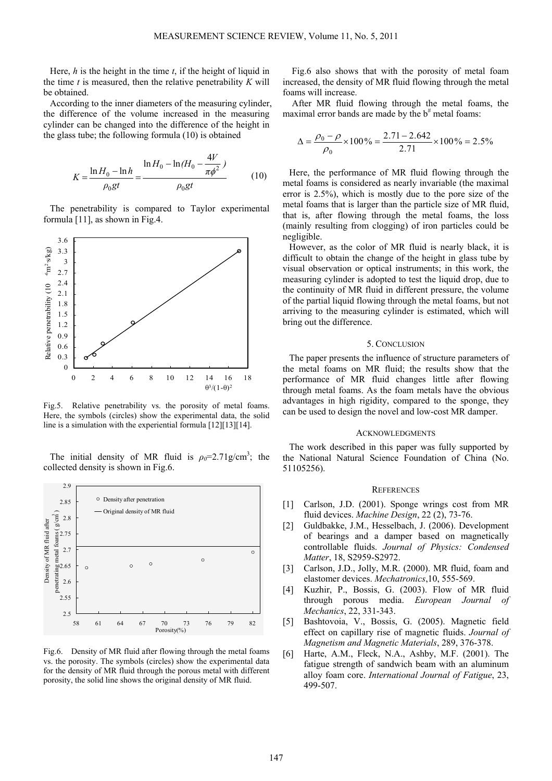Here, *h* is the height in the time *t*, if the height of liquid in the time *t* is measured, then the relative penetrability *K* will be obtained.

According to the inner diameters of the measuring cylinder, the difference of the volume increased in the measuring cylinder can be changed into the difference of the height in the glass tube; the following formula (10) is obtained

$$
K = \frac{\ln H_0 - \ln h}{\rho_0 gt} = \frac{\ln H_0 - \ln (H_0 - \frac{4V}{\pi \phi^2})}{\rho_0 gt}
$$
(10)

The penetrability is compared to Taylor experimental formula [11], as shown in Fig.4.



Fig.5. Relative penetrability vs. the porosity of metal foams. Here, the symbols (circles) show the experimental data, the solid line is a simulation with the experiential formula [12][13][14].

The initial density of MR fluid is  $\rho_0 = 2.71$  g/cm<sup>3</sup>; the collected density is shown in Fig.6.



Fig.6. Density of MR fluid after flowing through the metal foams vs. the porosity. The symbols (circles) show the experimental data for the density of MR fluid through the porous metal with different porosity, the solid line shows the original density of MR fluid.

Fig.6 also shows that with the porosity of metal foam increased, the density of MR fluid flowing through the metal foams will increase.

After MR fluid flowing through the metal foams, the maximal error bands are made by the  $b^{\#}$  metal foams:

$$
\Delta = \frac{\rho_0 - \rho}{\rho_0} \times 100\% = \frac{2.71 - 2.642}{2.71} \times 100\% = 2.5\%
$$

Here, the performance of MR fluid flowing through the metal foams is considered as nearly invariable (the maximal error is 2.5%), which is mostly due to the pore size of the metal foams that is larger than the particle size of MR fluid, that is, after flowing through the metal foams, the loss (mainly resulting from clogging) of iron particles could be negligible.

However, as the color of MR fluid is nearly black, it is difficult to obtain the change of the height in glass tube by visual observation or optical instruments; in this work, the measuring cylinder is adopted to test the liquid drop, due to the continuity of MR fluid in different pressure, the volume of the partial liquid flowing through the metal foams, but not arriving to the measuring cylinder is estimated, which will bring out the difference.

# 5. CONCLUSION

The paper presents the influence of structure parameters of the metal foams on MR fluid; the results show that the performance of MR fluid changes little after flowing through metal foams. As the foam metals have the obvious advantages in high rigidity, compared to the sponge, they can be used to design the novel and low-cost MR damper.

## ACKNOWLEDGMENTS

The work described in this paper was fully supported by the National Natural Science Foundation of China (No. 51105256).

### **REFERENCES**

- [1] Carlson, J.D. (2001). Sponge wrings cost from MR fluid devices. *Machine Design*, 22 (2), 73-76.
- [2] Guldbakke, J.M., Hesselbach, J. (2006). Development of bearings and a damper based on magnetically controllable fluids. *Journal of Physics: Condensed Matter*, 18, S2959-S2972.
- [3] Carlson, J.D., Jolly, M.R. (2000). MR fluid, foam and elastomer devices. *Mechatronics*,10, 555-569.
- [4] Kuzhir, P., Bossis, G. (2003). Flow of MR fluid through porous media. *European Journal of Mechanics*, 22, 331-343.
- [5] Bashtovoia, V., Bossis, G. (2005). Magnetic field effect on capillary rise of magnetic fluids. *Journal of Magnetism and Magnetic Materials*, 289, 376-378.
- [6] Harte, A.M., Fleck, N.A., Ashby, M.F. (2001). The fatigue strength of sandwich beam with an aluminum alloy foam core. *International Journal of Fatigue*, 23, 499-507.